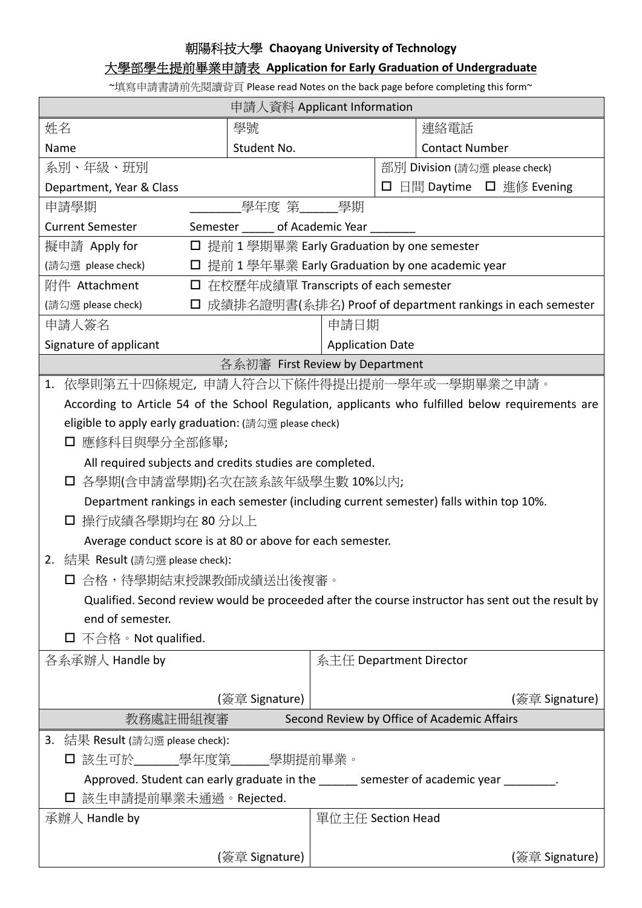## 朝陽科技大學 **Chaoyang University of Technology**

## 大學部學生提前畢業申請表 **Application for Early Graduation of Undergraduate**

~填寫申請書請前先閱讀背頁 Please read Notes on the back page before completing this form~

| 申請人資料 Applicant Information                                                                                    |                                                            |                         |  |                                |  |
|----------------------------------------------------------------------------------------------------------------|------------------------------------------------------------|-------------------------|--|--------------------------------|--|
| 姓名                                                                                                             | 學號                                                         |                         |  | 連絡電話                           |  |
| Name                                                                                                           | Student No.                                                |                         |  | <b>Contact Number</b>          |  |
| 系別、年級、班別                                                                                                       |                                                            |                         |  | 部別 Division (請勾選 please check) |  |
| Department, Year & Class                                                                                       |                                                            |                         |  | □ 日間 Daytime □ 進修 Evening      |  |
| 申請學期                                                                                                           | _學年度 第_______學期                                            |                         |  |                                |  |
| <b>Current Semester</b><br>Semester ______ of Academic Year ______                                             |                                                            |                         |  |                                |  |
| □ 提前 1 學期畢業 Early Graduation by one semester<br>擬申請 Apply for                                                  |                                                            |                         |  |                                |  |
| (請勾選 please check)                                                                                             | □ 提前 1 學年畢業 Early Graduation by one academic year          |                         |  |                                |  |
| 附件 Attachment                                                                                                  | □ 在校歷年成績單 Transcripts of each semester                     |                         |  |                                |  |
| (請勾選 please check)<br>□                                                                                        | 成績排名證明書(系排名) Proof of department rankings in each semester |                         |  |                                |  |
| 申請人簽名<br>申請日期                                                                                                  |                                                            |                         |  |                                |  |
| Signature of applicant<br><b>Application Date</b>                                                              |                                                            |                         |  |                                |  |
| 各系初審 First Review by Department                                                                                |                                                            |                         |  |                                |  |
| 依學則第五十四條規定,申請人符合以下條件得提出提前一學年或一學期畢業之申請。<br>1.                                                                   |                                                            |                         |  |                                |  |
| According to Article 54 of the School Regulation, applicants who fulfilled below requirements are              |                                                            |                         |  |                                |  |
| eligible to apply early graduation: (請勾選 please check)                                                         |                                                            |                         |  |                                |  |
| 應修科目與學分全部修畢;<br>⊔                                                                                              |                                                            |                         |  |                                |  |
| All required subjects and credits studies are completed.                                                       |                                                            |                         |  |                                |  |
| 各學期(含申請當學期)名次在該系該年級學生數 10%以內;                                                                                  |                                                            |                         |  |                                |  |
| Department rankings in each semester (including current semester) falls within top 10%.                        |                                                            |                         |  |                                |  |
| 操行成績各學期均在 80 分以上                                                                                               |                                                            |                         |  |                                |  |
| Average conduct score is at 80 or above for each semester.                                                     |                                                            |                         |  |                                |  |
| 2. 結果 Result (請勾選 please check):                                                                               |                                                            |                         |  |                                |  |
| □ 合格,待學期結束授課教師成績送出後複審。                                                                                         |                                                            |                         |  |                                |  |
| Qualified. Second review would be proceeded after the course instructor has sent out the result by             |                                                            |                         |  |                                |  |
| end of semester.                                                                                               |                                                            |                         |  |                                |  |
| $\square$ 不合格。Not qualified.                                                                                   |                                                            |                         |  |                                |  |
| 各系承辦人 Handle by                                                                                                |                                                            | 系主任 Department Director |  |                                |  |
|                                                                                                                |                                                            |                         |  |                                |  |
|                                                                                                                | (簽章 Signature)                                             |                         |  | (簽章 Signature)                 |  |
| 教務處註冊組複審<br>Second Review by Office of Academic Affairs                                                        |                                                            |                         |  |                                |  |
| 3. 結果 Result (請勾選 please check):                                                                               |                                                            |                         |  |                                |  |
|                                                                                                                |                                                            |                         |  |                                |  |
| Approved. Student can early graduate in the same semester of academic year same set of a student can early gra |                                                            |                         |  |                                |  |
| 口 該生申請提前畢業未通過。Rejected.                                                                                        |                                                            |                         |  |                                |  |
| 承辦人 Handle by                                                                                                  |                                                            | 單位主任 Section Head       |  |                                |  |
|                                                                                                                | (簽章 Signature)                                             |                         |  | (簽章 Signature)                 |  |